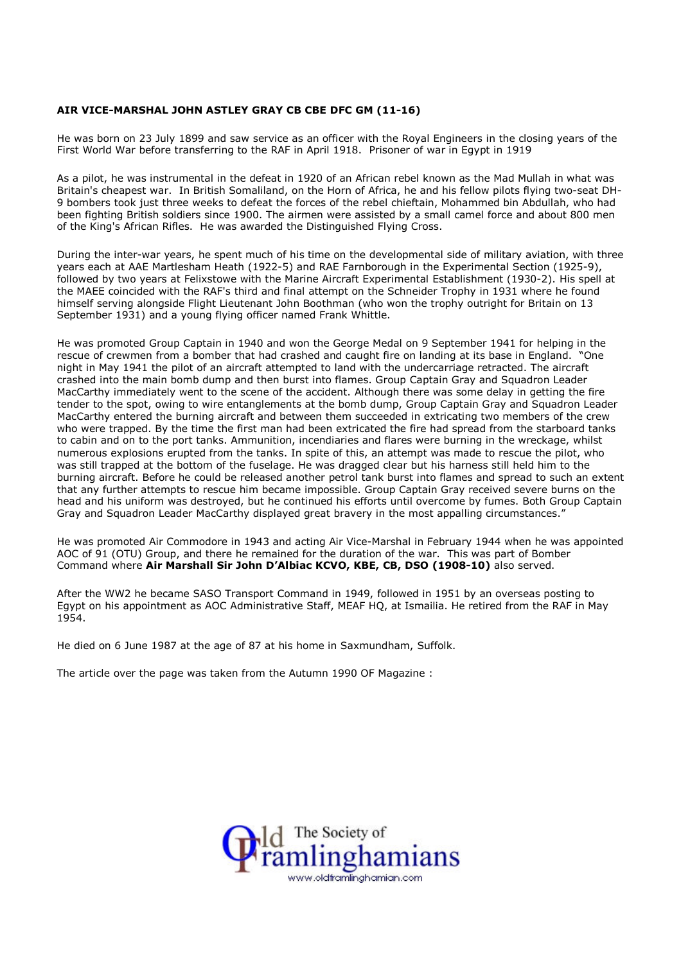## AIR VICE-MARSHAL JOHN ASTLEY GRAY CB CBE DFC GM (11-16)

He was born on 23 July 1899 and saw service as an officer with the Royal Engineers in the closing years of the First World War before transferring to the RAF in April 1918. Prisoner of war in Egypt in 1919

As a pilot, he was instrumental in the defeat in 1920 of an African rebel known as the Mad Mullah in what was Britain's cheapest war. In British Somaliland, on the Horn of Africa, he and his fellow pilots flying two-seat DH-9 bombers took just three weeks to defeat the forces of the rebel chieftain, Mohammed bin Abdullah, who had been fighting British soldiers since 1900. The airmen were assisted by a small camel force and about 800 men of the King's African Rifles. He was awarded the Distinguished Flying Cross.

During the inter-war years, he spent much of his time on the developmental side of military aviation, with three years each at AAE Martlesham Heath (1922-5) and RAE Farnborough in the Experimental Section (1925-9), followed by two years at Felixstowe with the Marine Aircraft Experimental Establishment (1930-2). His spell at the MAEE coincided with the RAF's third and final attempt on the Schneider Trophy in 1931 where he found himself serving alongside Flight Lieutenant John Boothman (who won the trophy outright for Britain on 13 September 1931) and a young flying officer named Frank Whittle.

He was promoted Group Captain in 1940 and won the George Medal on 9 September 1941 for helping in the rescue of crewmen from a bomber that had crashed and caught fire on landing at its base in England. "One night in May 1941 the pilot of an aircraft attempted to land with the undercarriage retracted. The aircraft crashed into the main bomb dump and then burst into flames. Group Captain Gray and Squadron Leader MacCarthy immediately went to the scene of the accident. Although there was some delay in getting the fire tender to the spot, owing to wire entanglements at the bomb dump, Group Captain Gray and Squadron Leader MacCarthy entered the burning aircraft and between them succeeded in extricating two members of the crew who were trapped. By the time the first man had been extricated the fire had spread from the starboard tanks to cabin and on to the port tanks. Ammunition, incendiaries and flares were burning in the wreckage, whilst numerous explosions erupted from the tanks. In spite of this, an attempt was made to rescue the pilot, who was still trapped at the bottom of the fuselage. He was dragged clear but his harness still held him to the burning aircraft. Before he could be released another petrol tank burst into flames and spread to such an extent that any further attempts to rescue him became impossible. Group Captain Gray received severe burns on the head and his uniform was destroyed, but he continued his efforts until overcome by fumes. Both Group Captain Gray and Squadron Leader MacCarthy displayed great bravery in the most appalling circumstances."

He was promoted Air Commodore in 1943 and acting Air Vice-Marshal in February 1944 when he was appointed AOC of 91 (OTU) Group, and there he remained for the duration of the war. This was part of Bomber Command where Air Marshall Sir John D'Albiac KCVO, KBE, CB, DSO (1908-10) also served.

After the WW2 he became SASO Transport Command in 1949, followed in 1951 by an overseas posting to Egypt on his appointment as AOC Administrative Staff, MEAF HQ, at Ismailia. He retired from the RAF in May 1954.

He died on 6 June 1987 at the age of 87 at his home in Saxmundham, Suffolk.

The article over the page was taken from the Autumn 1990 OF Magazine :